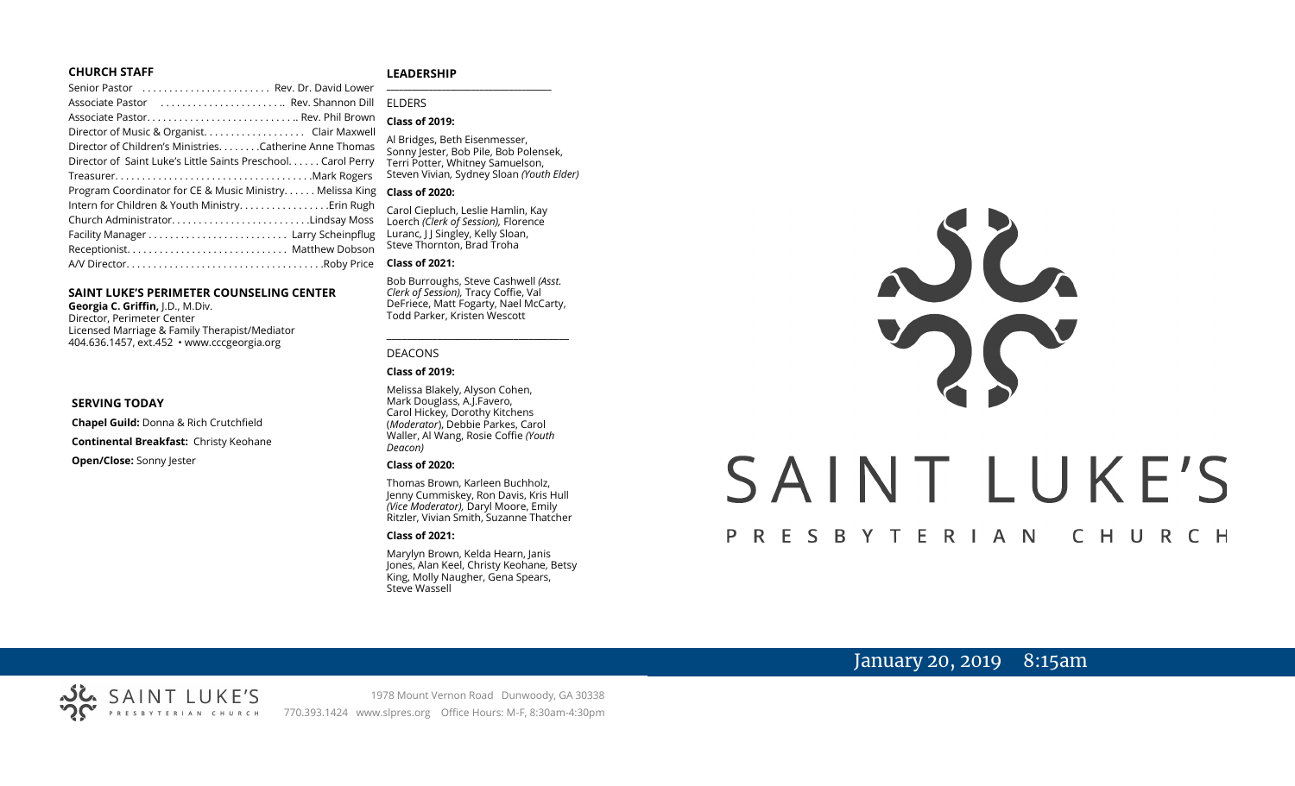#### **CHURCH STAFF**

#### **LEADERSHIP**

| Senior Pastor  Rev. Dr. David Lower                           |                                                                     |
|---------------------------------------------------------------|---------------------------------------------------------------------|
| Associate Pastor  Rev. Shannon Dill                           | <b>FIDERS</b>                                                       |
|                                                               | <b>Class of 2019:</b>                                               |
|                                                               |                                                                     |
| Director of Children's MinistriesCatherine Anne Thomas        | Al Bridges, Beth Eisenmesser,<br>Sonny Jester, Bob Pile, Bob Polens |
| Director of Saint Luke's Little Saints Preschool. Carol Perry | Terri Potter, Whitney Samuelson,                                    |
| TreasurerMark Rogers                                          | Steven Vivian, Sydney Sloan (Youth                                  |
| Program Coordinator for CE & Music Ministry Melissa King      | <b>Class of 2020:</b>                                               |
| Intern for Children & Youth Ministry Erin Rugh                | Carol Ciepluch, Leslie Hamlin, Kay                                  |
| Church AdministratorLindsay Moss                              | Loerch (Clerk of Session), Florence                                 |
|                                                               | Luranc, J J Singley, Kelly Sloan,                                   |
|                                                               | Steve Thornton, Brad Troha                                          |
|                                                               | <b>Class of 2021:</b>                                               |

#### **SAINT LUKE'S PERIMETER COUNSELING CENTER**

**Georgia C. Griffin,** J.D., M.Div. Director, Perimeter Center Licensed Marriage & Family Therapist/Mediator 404.636.1457, ext.452 • www.cccgeorgia.org

#### **SERVING TODAY**

**Chapel Guild:** Donna & Rich Crutchfield **Continental Breakfast:** Christy Keohane

**Open/Close:** Sonny Jester

# ELDERS

#### **Class of 2019:**

Al Bridges, Beth Eisenmesser, Sonny Jester, Bob Pile, Bob Polensek, Terri Potter, Whitney Samuelson, Steven Vivian*,* Sydney Sloan *(Youth Elder)*

#### **Class of 2020:**

#### **Class of 2021:**

Bob Burroughs, Steve Cashwell *(Asst. Clerk of Session),* Tracy Coffie, Val DeFriece, Matt Fogarty, Nael McCarty, Todd Parker, Kristen Wescott

\_\_\_\_\_\_\_\_\_\_\_\_\_\_\_\_\_\_\_\_\_\_\_\_\_\_\_\_\_\_\_\_\_\_\_\_

#### DEACONS

#### **Class of 2019:**

Melissa Blakely, Alyson Cohen, Mark Douglass, A.J.Favero, Carol Hickey, Dorothy Kitchens (*Moderator*), Debbie Parkes, Carol Waller, Al Wang, Rosie Coffie *(Youth Deacon)* 

#### **Class of 2020:**

Thomas Brown, Karleen Buchholz, Jenny Cummiskey, Ron Davis, Kris Hull *(Vice Moderator),* Daryl Moore, Emily Ritzler, Vivian Smith, Suzanne Thatcher

#### **Class of 2021:**

Marylyn Brown, Kelda Hearn, Janis Jones, Alan Keel, Christy Keohane, Betsy King, Molly Naugher, Gena Spears, Steve Wassell



## January 20, 2019 8:15am

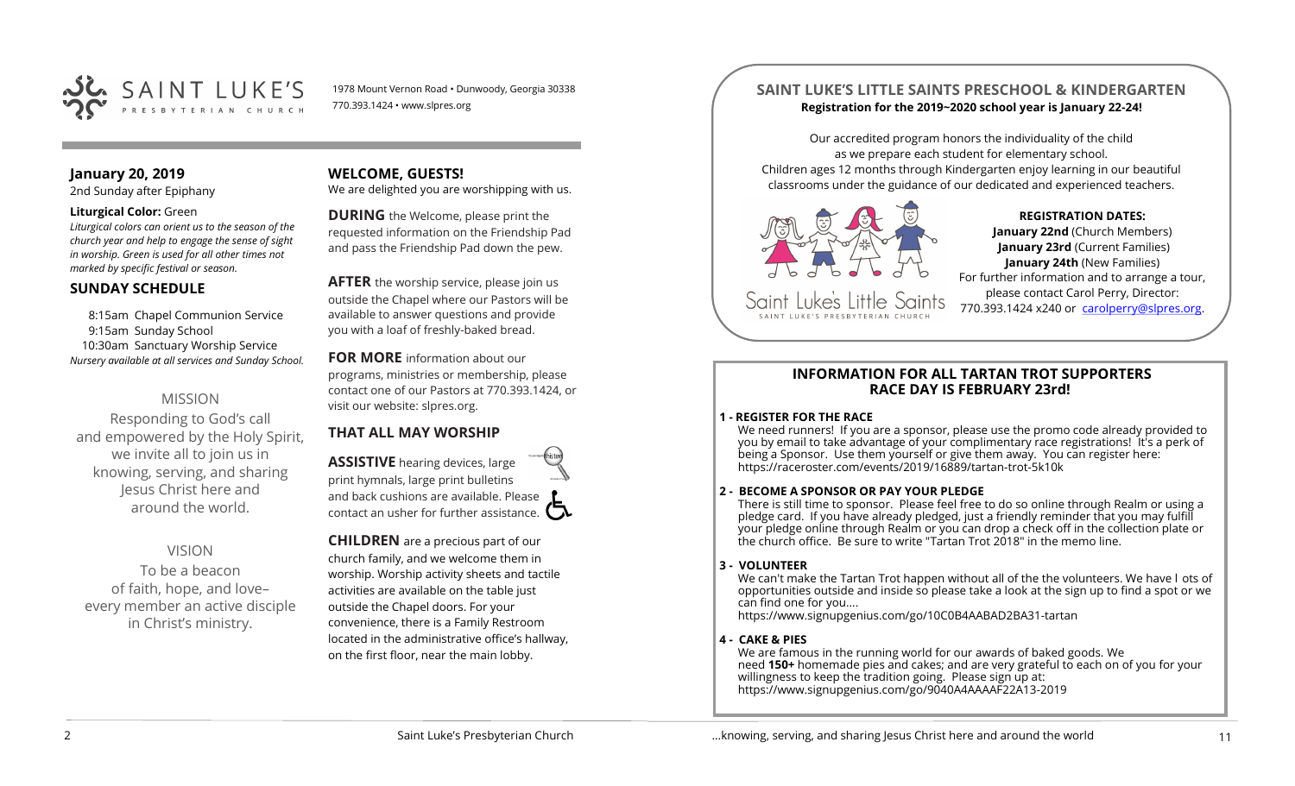

1978 Mount Vernon Road • Dunwoody, Georgia 30338 770.393.1424 • www.slpres.org

### **January 20, 2019**

2nd Sunday after Epiphany

#### **Liturgical Color:** Green

*Liturgical colors can orient us to the season of the church year and help to engage the sense of sight in worship. Green is used for all other times not marked by specific festival or season.*

#### **SUNDAY SCHEDULE**

8:15am Chapel Communion Service 9:15am Sunday School 10:30am Sanctuary Worship Service *Nursery available at all services and Sunday School.* 

## MISSION

Responding to God's call and empowered by the Holy Spirit, we invite all to join us in knowing, serving, and sharing Jesus Christ here and around the world.

## VISION

To be a beacon of faith, hope, and love– every member an active disciple in Christ's ministry.

## **WELCOME, GUESTS!**

We are delighted you are worshipping with us.

**DURING** the Welcome, please print the requested information on the Friendship Pad and pass the Friendship Pad down the pew.

**AFTER** the worship service, please join us outside the Chapel where our Pastors will be available to answer questions and provide you with a loaf of freshly-baked bread.

#### **FOR MORE** information about our

programs, ministries or membership, please contact one of our Pastors at 770.393.1424, or visit our website: slpres.org.

## **THAT ALL MAY WORSHIP**

**ASSISTIVE** hearing devices, large print hymnals, large print bulletins and back cushions are available. Please contact an usher for further assistance.  $\square$ 

**CHILDREN** are a precious part of our church family, and we welcome them in worship. Worship activity sheets and tactile activities are available on the table just outside the Chapel doors. For your convenience, there is a Family Restroom located in the administrative office's hallway, on the first floor, near the main lobby.

## **SAINT LUKE'S LITTLE SAINTS PRESCHOOL & KINDERGARTEN Registration for the 2019~2020 school year is January 22-24!**

Our accredited program honors the individuality of the child as we prepare each student for elementary school. Children ages 12 months through Kindergarten enjoy learning in our beautiful classrooms under the guidance of our dedicated and experienced teachers.



CAINT LIIKE'S PRESRYTERIAN

## **REGISTRATION DATES:**

**January 22nd** (Church Members) **January 23rd** (Current Families) **January 24th** (New Families) For further information and to arrange a tour, please contact Carol Perry, Director: 770.393.1424 x240 or [carolperry@slpres.org.](mailto:carolperry@slpres.org)

#### **INFORMATION FOR ALL TARTAN TROT SUPPORTERS RACE DAY IS FEBRUARY 23rd!**

#### **1 - REGISTER FOR THE RACE**

We need runners! If you are a sponsor, please use the promo code already provided to you by email to take advantage of your complimentary race registrations! It's a perk of being a Sponsor. Use them yourself or give them away. You can register here: [https://raceroster.com/events/2019/16889/tartan](https://raceroster.com/events/2019/16889/tartan-trot-5k10k)-trot-5k10k

#### **2 - BECOME A SPONSOR OR PAY YOUR PLEDGE**

There is still time to sponsor. Please feel free to do so online through Realm or using a pledge card. If you have already pledged, just a friendly reminder that you may fulfill your pledge online through Realm or you can drop a check off in the collection plate or the church office. Be sure to write "Tartan Trot 2018" in the memo line.

#### **3 - VOLUNTEER**

We can't make the Tartan Trot happen without all of the the volunteers. We have l ots of opportunities outside and inside so please take a look at the sign up to find a spot or we can find one for you....

[https://www.signupgenius.com/go/10C0B4AABAD2BA31](https://www.signupgenius.com/go/10C0B4AABAD2BA31-tartan)-tartan

#### **4 - CAKE & PIES**

We are famous in the running world for our awards of baked goods. We need **150+** homemade pies and cakes; and are very grateful to each on of you for your willingness to keep the tradition going. Please sign up at: [https://www.signupgenius.com/go/9040A4AAAAF22A13](https://www.signupgenius.com/go/9040A4AAAAF22A13-2019)-2019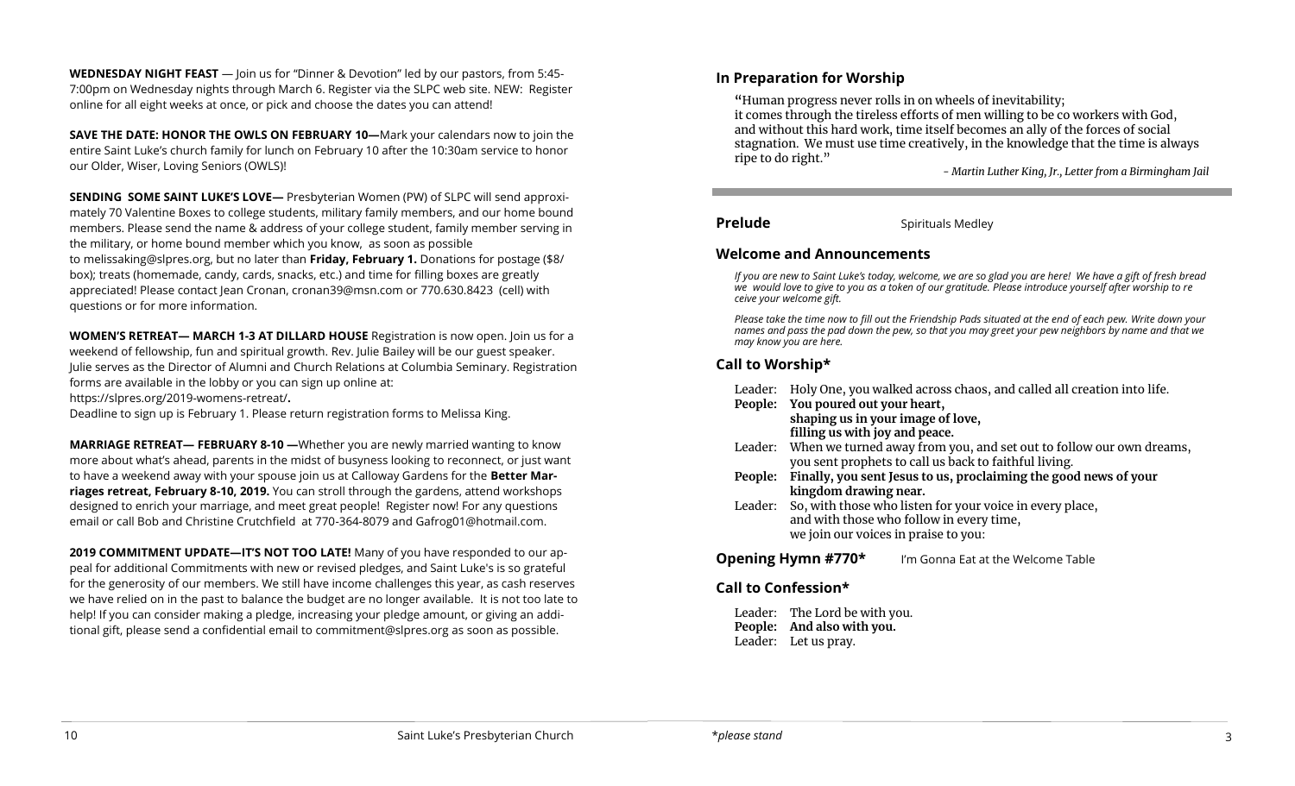**WEDNESDAY NIGHT FEAST** — Join us for "Dinner & Devotion" led by our pastors, from 5:45- 7:00pm on Wednesday nights through March 6. Register via the SLPC web site. NEW: Register online for all eight weeks at once, or pick and choose the dates you can attend!

**SAVE THE DATE: HONOR THE OWLS ON FEBRUARY 10—**Mark your calendars now to join the entire Saint Luke's church family for lunch on February 10 after the 10:30am service to honor our Older, Wiser, Loving Seniors (OWLS)!

**SENDING SOME SAINT LUKE'S LOVE—** Presbyterian Women (PW) of SLPC will send approximately 70 Valentine Boxes to college students, military family members, and our home bound members. Please send the name & address of your college student, family member serving in the military, or home bound member which you know, as soon as possible to melissakin[g@slpres.org,](mailto:lizcatlett@slpres.org) but no later than **Friday, February 1.** Donations for postage (\$8/ box); treats (homemade, candy, cards, snacks, etc.) and time for filling boxes are greatly appreciated! Please contact Jean Cronan, [cronan39@msn.com](mailto:cronan39@msn.com) or 770.630.8423 (cell) with questions or for more information.

**WOMEN'S RETREAT— MARCH 1-3 AT DILLARD HOUSE** Registration is now open. Join us for a weekend of fellowship, fun and spiritual growth. Rev. Julie Bailey will be our guest speaker. Julie serves as the Director of Alumni and Church Relations at Columbia Seminary. Registration forms are available in the lobby or you can sign up online at:

[https://slpres.org/2019](https://slpres.org/2019-womens-retreat/)-womens-retreat/**.** 

Deadline to sign up is February 1. Please return registration forms to Melissa King.

**MARRIAGE RETREAT— FEBRUARY 8-10 —**Whether you are newly married wanting to know more about what's ahead, parents in the midst of busyness looking to reconnect, or just want to have a weekend away with your spouse join us at Calloway Gardens for the **Better Marriages retreat, February 8-10, 2019.** You can stroll through the gardens, attend workshops designed to enrich your marriage, and meet great people! Register now! For any questions email or call Bob and Christine Crutchfield at 770-364-8079 and [Gafrog01@hotmail.com.](mailto:Gafrog01@hotmail.com)

**2019 COMMITMENT UPDATE—IT'S NOT TOO LATE!** Many of you have responded to our appeal for additional Commitments with new or revised pledges, and Saint Luke's is so grateful for the generosity of our members. We still have income challenges this year, as cash reserves we have relied on in the past to balance the budget are no longer available. It is not too late to help! If you can consider making a pledge, increasing your pledge amount, or giving an additional gift, please send a confidential email to commitment@slpres.org as soon as possible.

### **In Preparation for Worship**

**"**Human progress never rolls in on wheels of inevitability; it comes through the tireless efforts of men willing to be co workers with God, and without this hard work, time itself becomes an ally of the forces of social stagnation. We must use time creatively, in the knowledge that the time is always ripe to do right."

*- Martin Luther King, Jr., Letter from a Birmingham Jail*

**Prelude** Spirituals Medley

#### **Welcome and Announcements**

*If you are new to Saint Luke's today, welcome, we are so glad you are here! We have a gift of fresh bread we would love to give to you as a token of our gratitude. Please introduce yourself after worship to re ceive your welcome gift.*

*Please take the time now to fill out the Friendship Pads situated at the end of each pew. Write down your names and pass the pad down the pew, so that you may greet your pew neighbors by name and that we may know you are here.*

## **Call to Worship\***

| Leader: Holy One, you walked across chaos, and called all creation into life. |
|-------------------------------------------------------------------------------|
| People: You poured out your heart,                                            |
| shaping us in your image of love,                                             |
| filling us with joy and peace.                                                |
| Leader: When we turned away from you, and set out to follow our own dreams,   |
| you sent prophets to call us back to faithful living.                         |
| People: Finally, you sent Jesus to us, proclaiming the good news of your      |
| kingdom drawing near.                                                         |
| Leader: So, with those who listen for your voice in every place,              |
| and with those who follow in every time,                                      |
| we join our voices in praise to you:                                          |
| Opening Hymn #770*<br>I'm Gonna Eat at the Welcome Table                      |

#### **Call to Confession\***

Leader: The Lord be with you. **People: And also with you.**  Leader: Let us pray.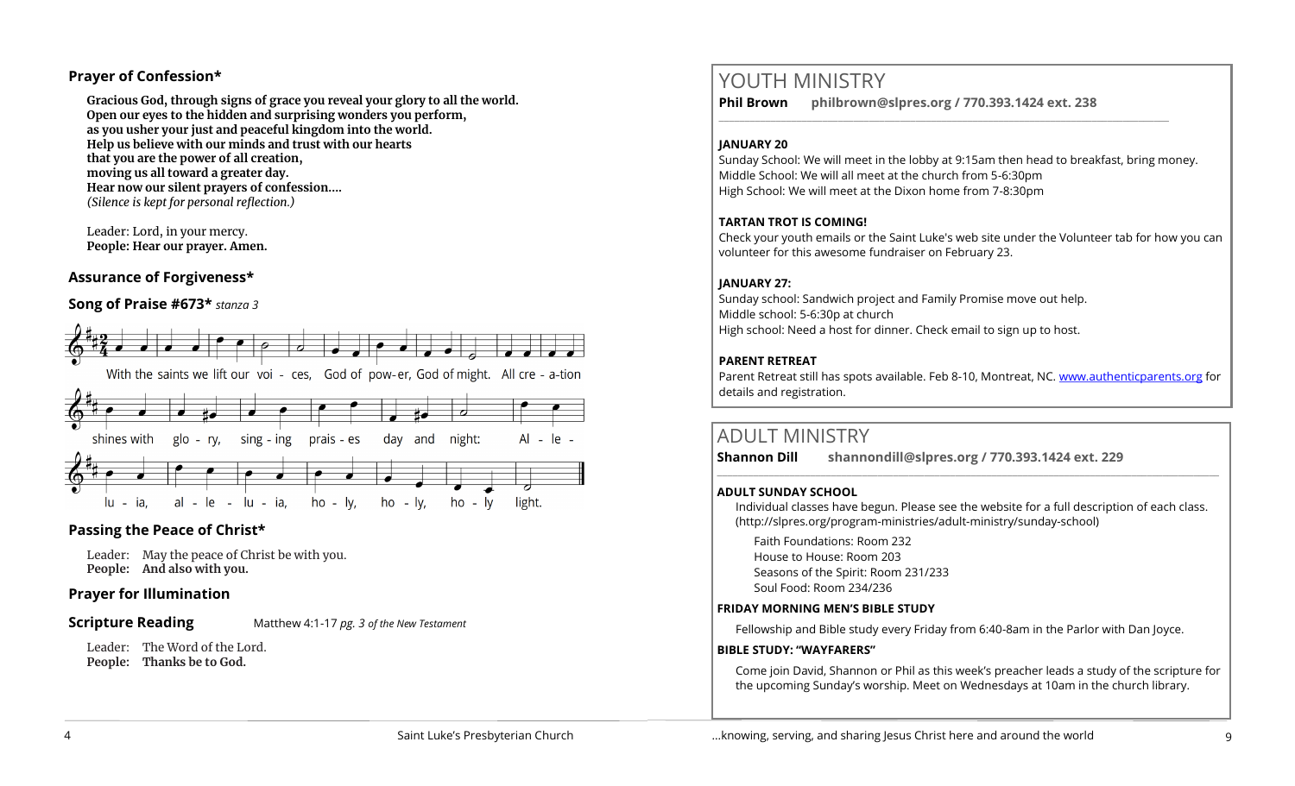### **Prayer of Confession\***

**Gracious God, through signs of grace you reveal your glory to all the world. Open our eyes to the hidden and surprising wonders you perform, as you usher your just and peaceful kingdom into the world. Help us believe with our minds and trust with our hearts that you are the power of all creation, moving us all toward a greater day. Hear now our silent prayers of confession....**  *(Silence is kept for personal reflection.)*

Leader: Lord, in your mercy. **People: Hear our prayer. Amen.**

## **Assurance of Forgiveness\***

## **Song of Praise #673\*** *stanza 3*



## **Passing the Peace of Christ\***

Leader: May the peace of Christ be with you. **People: And also with you.** 

## **Prayer for Illumination**

#### **Scripture Reading** Matthew 4:1-17 *pg. 3 of the New Testament*

Leader: The Word of the Lord. **People: Thanks be to God.** 

# YOUTH MINISTRY

**Phil Brown philbrown@slpres.org / 770.393.1424 ext. 238** 

### **JANUARY 20**

Sunday School: We will meet in the lobby at 9:15am then head to breakfast, bring money. Middle School: We will all meet at the church from 5-6:30pm High School: We will meet at the Dixon home from 7-8:30pm

\_\_\_\_\_\_\_\_\_\_\_\_\_\_\_\_\_\_\_\_\_\_\_\_\_\_\_\_\_\_\_\_\_\_\_\_\_\_\_\_\_\_\_\_\_\_\_\_\_\_\_\_\_\_\_\_\_\_\_\_\_\_\_\_\_\_\_\_\_\_\_\_\_\_\_\_\_\_\_\_\_\_\_\_\_\_\_

#### **TARTAN TROT IS COMING!**

Check your youth emails or the Saint Luke's web site under the Volunteer tab for how you can volunteer for this awesome fundraiser on February 23.

#### **JANUARY 27:**

Sunday school: Sandwich project and Family Promise move out help. Middle school: 5-6:30p at church High school: Need a host for dinner. Check email to sign up to host.

### **PARENT RETREAT**

Parent Retreat still has spots available. Feb 8-10, Montreat, NC. [www.authenticparents.org](http://www.authenticparents.org) for details and registration.

## ADULT MINISTRY

**Shannon Dill shannondill@slpres.org / 770.393.1424 ext. 229** 

#### **ADULT SUNDAY SCHOOL**

Individual classes have begun. Please see the website for a full description of each class. (http://slpres.org/program-ministries/adult-ministry/sunday-school)

 $\_$  ,  $\_$  ,  $\_$  ,  $\_$  ,  $\_$  ,  $\_$  ,  $\_$  ,  $\_$  ,  $\_$  ,  $\_$  ,  $\_$  ,  $\_$  ,  $\_$  ,  $\_$  ,  $\_$  ,  $\_$  ,  $\_$  ,  $\_$  ,  $\_$  ,  $\_$ 

Faith Foundations: Room 232 House to House: Room 203 Seasons of the Spirit: Room 231/233 Soul Food: Room 234/236

#### **FRIDAY MORNING MEN'S BIBLE STUDY**

Fellowship and Bible study every Friday from 6:40-8am in the Parlor with Dan Joyce.

#### **BIBLE STUDY: "WAYFARERS"**

Come join David, Shannon or Phil as this week's preacher leads a study of the scripture for the upcoming Sunday's worship. Meet on Wednesdays at 10am in the church library.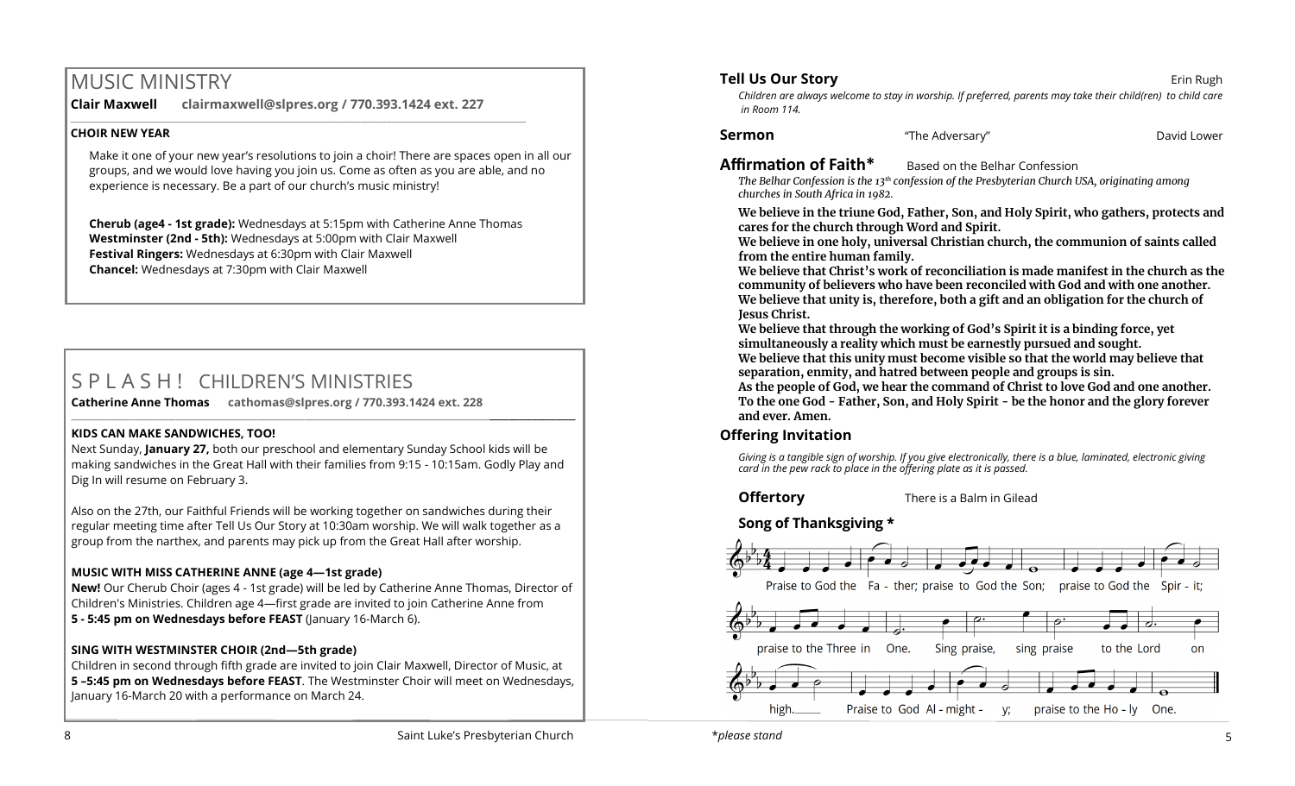# MUSIC MINISTRY

**Clair Maxwell clairmaxwell@slpres.org / 770.393.1424 ext. 227** 

 $\_$  , and the set of the set of the set of the set of the set of the set of the set of the set of the set of the set of the set of the set of the set of the set of the set of the set of the set of the set of the set of th

### **CHOIR NEW YEAR**

Make it one of your new year's resolutions to join a choir! There are spaces open in all our groups, and we would love having you join us. Come as often as you are able, and no experience is necessary. Be a part of our church's music ministry!

**Cherub (age4 - 1st grade):** Wednesdays at 5:15pm with Catherine Anne Thomas **Westminster (2nd - 5th):** Wednesdays at 5:00pm with Clair Maxwell **Festival Ringers:** Wednesdays at 6:30pm with Clair Maxwell **Chancel:** Wednesdays at 7:30pm with Clair Maxwell

# S P L A S H ! CHILDREN'S MINISTRIES

**Catherine Anne Thomas cathomas@slpres.org / 770.393.1424 ext. 228 \_\_\_\_\_\_\_\_\_\_\_\_\_\_\_\_\_\_\_\_\_\_\_\_\_\_\_\_\_\_\_\_\_\_\_\_\_\_\_\_\_\_\_\_\_\_\_\_\_\_\_\_\_\_\_\_\_\_\_\_\_\_\_\_\_\_\_\_\_\_\_\_\_\_\_\_\_\_\_\_\_\_\_\_\_\_\_\_\_\_\_\_\_\_\_\_\_\_\_\_\_\_\_\_\_\_** 

#### **KIDS CAN MAKE SANDWICHES, TOO!**

Next Sunday, **January 27,** both our preschool and elementary Sunday School kids will be making sandwiches in the Great Hall with their families from 9:15 - 10:15am. Godly Play and Dig In will resume on February 3.

Also on the 27th, our Faithful Friends will be working together on sandwiches during their regular meeting time after Tell Us Our Story at 10:30am worship. We will walk together as a group from the narthex, and parents may pick up from the Great Hall after worship.

## **MUSIC WITH MISS CATHERINE ANNE (age 4—1st grade)**

**New!** Our Cherub Choir (ages 4 - 1st grade) will be led by Catherine Anne Thomas, Director of Children's Ministries. Children age 4—first grade are invited to join Catherine Anne from **5 - 5:45 pm on Wednesdays before FEAST** (January 16-March 6).

## **SING WITH WESTMINSTER CHOIR (2nd—5th grade)**

Children in second through fifth grade are invited to join Clair Maxwell, Director of Music, at **5 –5:45 pm on Wednesdays before FEAST**. The Westminster Choir will meet on Wednesdays, January 16-March 20 with a performance on March 24.

## **Tell Us Our Story** *Erin Rugh* **Example 20 and 20 and 20 and 20 and 20 and 20 and 20 and 20 and 20 and 20 and 20 and 20 and 20 and 20 and 20 and 20 and 20 and 20 and 20 and 20 and 20 and 20 and 20 and 20 and 20 and 20 and**

*Children are always welcome to stay in worship. If preferred, parents may take their child(ren) to child care in Room 114.*

**Sermon** The Adversary" **Construction Construction Construction** David Lower

**Affirmation of Faith\*** Based on the Belhar Confession

*The Belhar Confession is the 13th confession of the Presbyterian Church USA, originating among churches in South Africa in 1982.*

**We believe in the triune God, Father, Son, and Holy Spirit, who gathers, protects and cares for the church through Word and Spirit.**

**We believe in one holy, universal Christian church, the communion of saints called from the entire human family.**

**We believe that Christ's work of reconciliation is made manifest in the church as the community of believers who have been reconciled with God and with one another. We believe that unity is, therefore, both a gift and an obligation for the church of Jesus Christ.**

**We believe that through the working of God's Spirit it is a binding force, yet simultaneously a reality which must be earnestly pursued and sought. We believe that this unity must become visible so that the world may believe that**

**separation, enmity, and hatred between people and groups is sin.**

**As the people of God, we hear the command of Christ to love God and one another. To the one God - Father, Son, and Holy Spirit - be the honor and the glory forever and ever. Amen.** 

## **Offering Invitation**

*Giving is a tangible sign of worship. If you give electronically, there is a blue, laminated, electronic giving card in the pew rack to place in the offering plate as it is passed.*

**Offertory** There is a Balm in Gilead

## **Song of Thanksgiving**